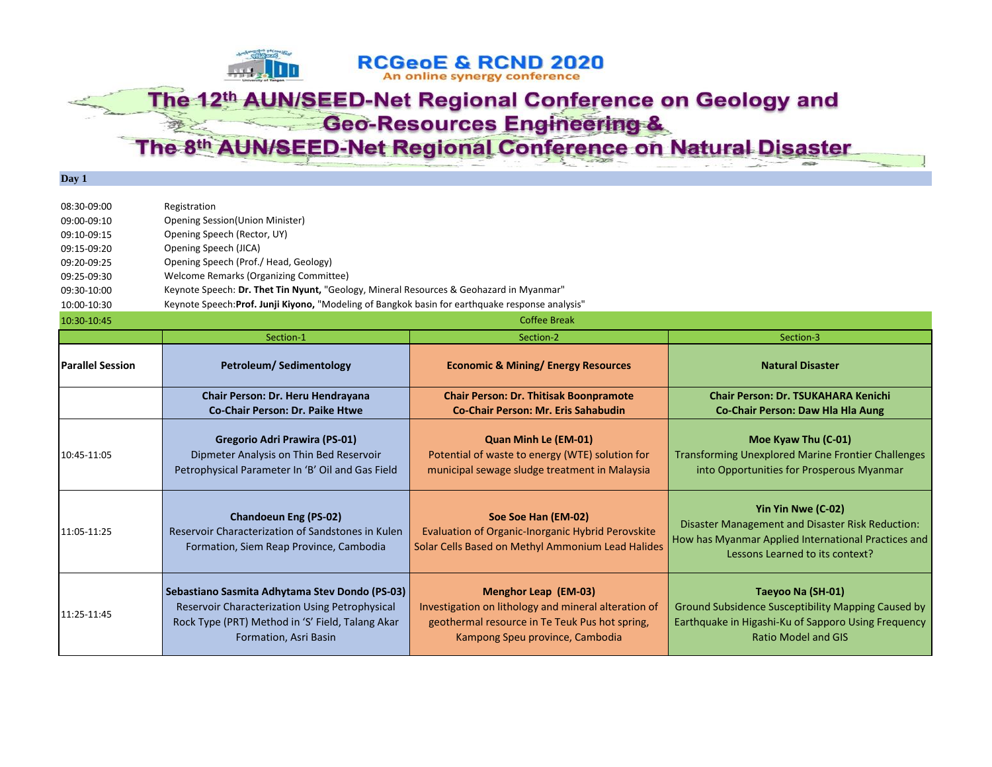## The 12th AUN/SEED-Net Regional Conference on Geology and **Geo-Resources Engineering &**

**RCGeoE & RCND 2020** An online synergy conference

The 8th AUN/SEED-Net Regional Conference on Natural Disaster

**Day 1**

| 08:30-09:00<br>09:00-09:10<br>09:10-09:15<br>09:15-09:20<br>09:20-09:25<br>09:25-09:30<br>09:30-10:00<br>10:00-10:30<br>10:30-10:45 | Registration<br><b>Opening Session(Union Minister)</b><br>Opening Speech (Rector, UY)<br>Opening Speech (JICA)<br>Opening Speech (Prof./ Head, Geology)<br>Welcome Remarks (Organizing Committee)<br>Keynote Speech: Dr. Thet Tin Nyunt, "Geology, Mineral Resources & Geohazard in Myanmar"<br>Keynote Speech: Prof. Junji Kiyono, "Modeling of Bangkok basin for earthquake response analysis" | <b>Coffee Break</b>                                                                                                                                                      |                                                                                                                                                                  |
|-------------------------------------------------------------------------------------------------------------------------------------|--------------------------------------------------------------------------------------------------------------------------------------------------------------------------------------------------------------------------------------------------------------------------------------------------------------------------------------------------------------------------------------------------|--------------------------------------------------------------------------------------------------------------------------------------------------------------------------|------------------------------------------------------------------------------------------------------------------------------------------------------------------|
|                                                                                                                                     | Section-1                                                                                                                                                                                                                                                                                                                                                                                        | Section-2                                                                                                                                                                | Section-3                                                                                                                                                        |
| <b>Parallel Session</b>                                                                                                             | Petroleum/Sedimentology                                                                                                                                                                                                                                                                                                                                                                          | <b>Economic &amp; Mining/ Energy Resources</b>                                                                                                                           | <b>Natural Disaster</b>                                                                                                                                          |
|                                                                                                                                     | Chair Person: Dr. Heru Hendrayana<br>Co-Chair Person: Dr. Paike Htwe                                                                                                                                                                                                                                                                                                                             | <b>Chair Person: Dr. Thitisak Boonpramote</b><br>Co-Chair Person: Mr. Eris Sahabudin                                                                                     | <b>Chair Person: Dr. TSUKAHARA Kenichi</b><br>Co-Chair Person: Daw Hla Hla Aung                                                                                  |
| 10:45-11:05                                                                                                                         | <b>Gregorio Adri Prawira (PS-01)</b><br>Dipmeter Analysis on Thin Bed Reservoir<br>Petrophysical Parameter In 'B' Oil and Gas Field                                                                                                                                                                                                                                                              | <b>Quan Minh Le (EM-01)</b><br>Potential of waste to energy (WTE) solution for<br>municipal sewage sludge treatment in Malaysia                                          | Moe Kyaw Thu (C-01)<br><b>Transforming Unexplored Marine Frontier Challenges</b><br>into Opportunities for Prosperous Myanmar                                    |
| 11:05-11:25                                                                                                                         | <b>Chandoeun Eng (PS-02)</b><br>Reservoir Characterization of Sandstones in Kulen<br>Formation, Siem Reap Province, Cambodia                                                                                                                                                                                                                                                                     | Soe Soe Han (EM-02)<br><b>Evaluation of Organic-Inorganic Hybrid Perovskite</b><br>Solar Cells Based on Methyl Ammonium Lead Halides                                     | Yin Yin Nwe (C-02)<br>Disaster Management and Disaster Risk Reduction:<br>How has Myanmar Applied International Practices and<br>Lessons Learned to its context? |
| 11:25-11:45                                                                                                                         | Sebastiano Sasmita Adhytama Stev Dondo (PS-03)<br>Reservoir Characterization Using Petrophysical<br>Rock Type (PRT) Method in 'S' Field, Talang Akar<br>Formation, Asri Basin                                                                                                                                                                                                                    | <b>Menghor Leap (EM-03)</b><br>Investigation on lithology and mineral alteration of<br>geothermal resource in Te Teuk Pus hot spring,<br>Kampong Speu province, Cambodia | Taeyoo Na (SH-01)<br>Ground Subsidence Susceptibility Mapping Caused by<br>Earthquake in Higashi-Ku of Sapporo Using Frequency<br><b>Ratio Model and GIS</b>     |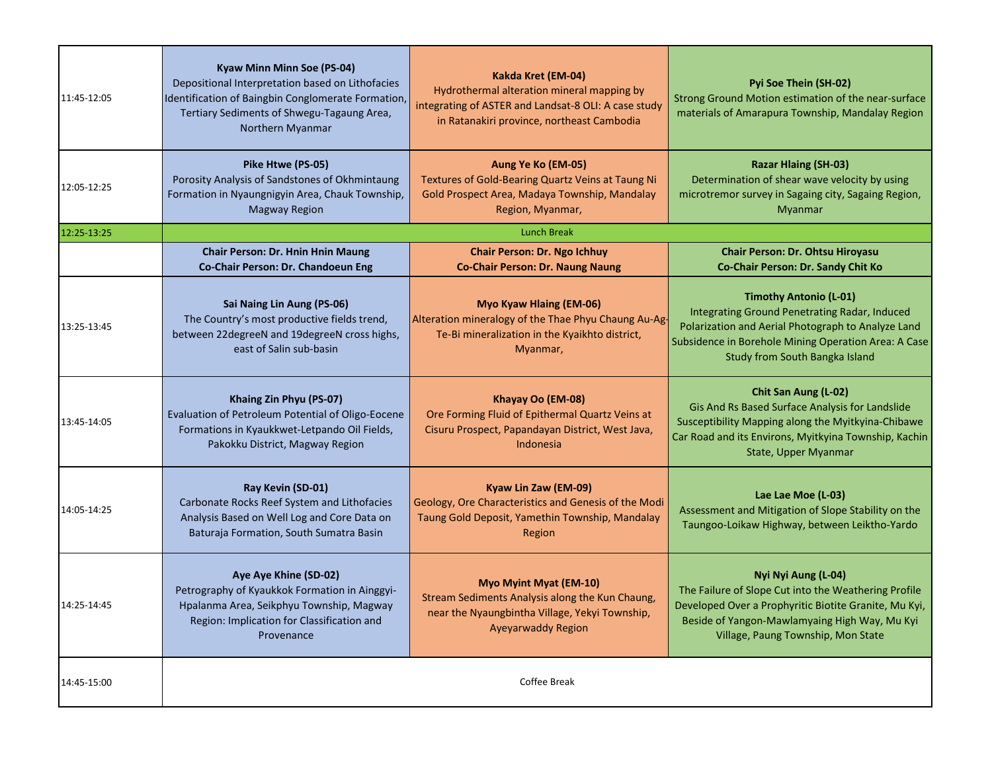| 11:45-12:05 | Kyaw Minn Minn Soe (PS-04)<br>Depositional Interpretation based on Lithofacies<br>Identification of Baingbin Conglomerate Formation,<br>Tertiary Sediments of Shwegu-Tagaung Area,<br>Northern Myanmar | Kakda Kret (EM-04)<br>Hydrothermal alteration mineral mapping by<br>integrating of ASTER and Landsat-8 OLI: A case study<br>in Ratanakiri province, northeast Cambodia | Pyi Soe Thein (SH-02)<br>Strong Ground Motion estimation of the near-surface<br>materials of Amarapura Township, Mandalay Region                                                                                               |
|-------------|--------------------------------------------------------------------------------------------------------------------------------------------------------------------------------------------------------|------------------------------------------------------------------------------------------------------------------------------------------------------------------------|--------------------------------------------------------------------------------------------------------------------------------------------------------------------------------------------------------------------------------|
| 12:05-12:25 | Pike Htwe (PS-05)<br>Porosity Analysis of Sandstones of Okhmintaung<br>Formation in Nyaungnigyin Area, Chauk Township,<br><b>Magway Region</b>                                                         | Aung Ye Ko (EM-05)<br>Textures of Gold-Bearing Quartz Veins at Taung Ni<br>Gold Prospect Area, Madaya Township, Mandalay<br>Region, Myanmar,                           | <b>Razar Hlaing (SH-03)</b><br>Determination of shear wave velocity by using<br>microtremor survey in Sagaing city, Sagaing Region,<br>Myanmar                                                                                 |
| 12:25-13:25 |                                                                                                                                                                                                        | <b>Lunch Break</b>                                                                                                                                                     |                                                                                                                                                                                                                                |
|             | <b>Chair Person: Dr. Hnin Hnin Maung</b><br>Co-Chair Person: Dr. Chandoeun Eng                                                                                                                         | <b>Chair Person: Dr. Ngo Ichhuy</b><br><b>Co-Chair Person: Dr. Naung Naung</b>                                                                                         | Chair Person: Dr. Ohtsu Hiroyasu<br>Co-Chair Person: Dr. Sandy Chit Ko                                                                                                                                                         |
| 13:25-13:45 | Sai Naing Lin Aung (PS-06)<br>The Country's most productive fields trend,<br>between 22degreeN and 19degreeN cross highs,<br>east of Salin sub-basin                                                   | Myo Kyaw Hlaing (EM-06)<br>Alteration mineralogy of the Thae Phyu Chaung Au-Ag-<br>Te-Bi mineralization in the Kyaikhto district,<br>Myanmar,                          | <b>Timothy Antonio (L-01)</b><br>Integrating Ground Penetrating Radar, Induced<br>Polarization and Aerial Photograph to Analyze Land<br>Subsidence in Borehole Mining Operation Area: A Case<br>Study from South Bangka Island |
| 13:45-14:05 | Khaing Zin Phyu (PS-07)<br>Evaluation of Petroleum Potential of Oligo-Eocene<br>Formations in Kyaukkwet-Letpando Oil Fields,<br>Pakokku District, Magway Region                                        | Khayay Oo (EM-08)<br>Ore Forming Fluid of Epithermal Quartz Veins at<br>Cisuru Prospect, Papandayan District, West Java,<br>Indonesia                                  | Chit San Aung (L-02)<br>Gis And Rs Based Surface Analysis for Landslide<br>Susceptibility Mapping along the Myitkyina-Chibawe<br>Car Road and its Environs, Myitkyina Township, Kachin<br>State, Upper Myanmar                 |
| 14:05-14:25 | Ray Kevin (SD-01)<br>Carbonate Rocks Reef System and Lithofacies<br>Analysis Based on Well Log and Core Data on<br>Baturaja Formation, South Sumatra Basin                                             | Kyaw Lin Zaw (EM-09)<br>Geology, Ore Characteristics and Genesis of the Modi<br>Taung Gold Deposit, Yamethin Township, Mandalay<br>Region                              | Lae Lae Moe (L-03)<br>Assessment and Mitigation of Slope Stability on the<br>Taungoo-Loikaw Highway, between Leiktho-Yardo                                                                                                     |
| 14:25-14:45 | Aye Aye Khine (SD-02)<br>Petrography of Kyaukkok Formation in Ainggyi-<br>Hpalanma Area, Seikphyu Township, Magway<br>Region: Implication for Classification and<br>Provenance                         | Myo Myint Myat (EM-10)<br>Stream Sediments Analysis along the Kun Chaung,<br>near the Nyaungbintha Village, Yekyi Township,<br><b>Ayeyarwaddy Region</b>               | Nyi Nyi Aung (L-04)<br>The Failure of Slope Cut into the Weathering Profile<br>Developed Over a Prophyritic Biotite Granite, Mu Kyi,<br>Beside of Yangon-Mawlamyaing High Way, Mu Kyi<br>Village, Paung Township, Mon State    |
| 14:45-15:00 |                                                                                                                                                                                                        | Coffee Break                                                                                                                                                           |                                                                                                                                                                                                                                |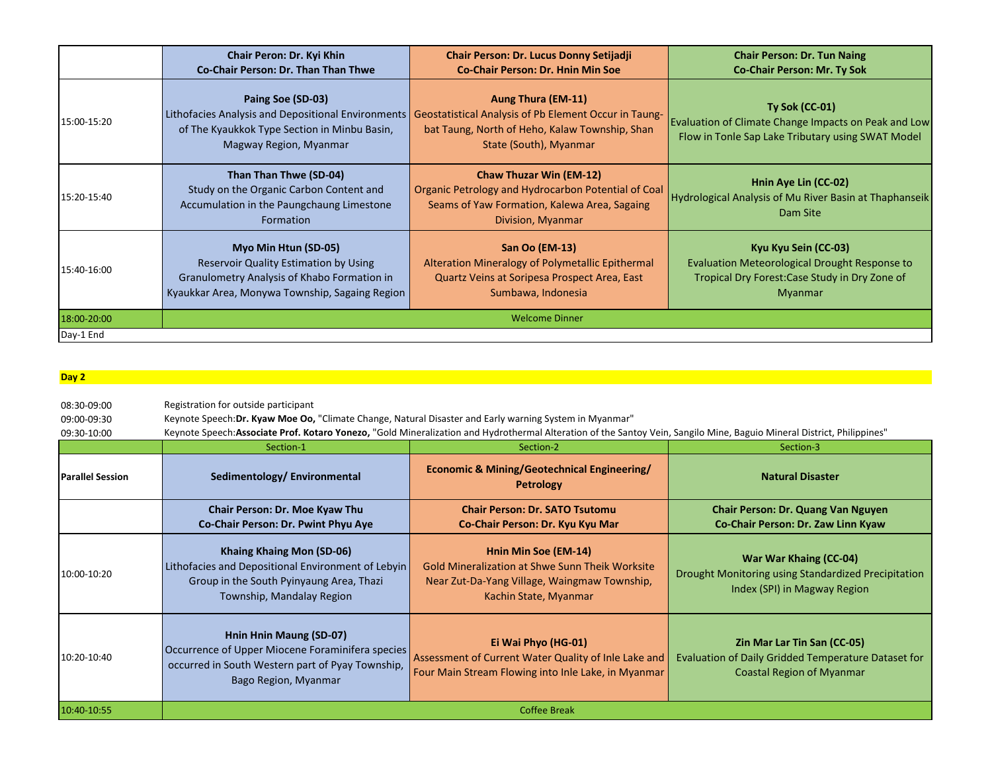|             | Chair Peron: Dr. Kyi Khin<br>Co-Chair Person: Dr. Than Than Thwe                                                                                                      | Chair Person: Dr. Lucus Donny Setijadji<br><b>Co-Chair Person: Dr. Hnin Min Soe</b>                                                                        | <b>Chair Person: Dr. Tun Naing</b><br><b>Co-Chair Person: Mr. Ty Sok</b>                                                                  |
|-------------|-----------------------------------------------------------------------------------------------------------------------------------------------------------------------|------------------------------------------------------------------------------------------------------------------------------------------------------------|-------------------------------------------------------------------------------------------------------------------------------------------|
| 15:00-15:20 | Paing Soe (SD-03)<br>Lithofacies Analysis and Depositional Environments<br>of The Kyaukkok Type Section in Minbu Basin,<br>Magway Region, Myanmar                     | Aung Thura (EM-11)<br>Geostatistical Analysis of Pb Element Occur in Taung-<br>bat Taung, North of Heho, Kalaw Township, Shan<br>State (South), Myanmar    | <b>Ty Sok (CC-01)</b><br>Evaluation of Climate Change Impacts on Peak and Low<br>Flow in Tonle Sap Lake Tributary using SWAT Model        |
| 15:20-15:40 | Than Than Thwe (SD-04)<br>Study on the Organic Carbon Content and<br>Accumulation in the Paungchaung Limestone<br>Formation                                           | <b>Chaw Thuzar Win (EM-12)</b><br>Organic Petrology and Hydrocarbon Potential of Coal<br>Seams of Yaw Formation, Kalewa Area, Sagaing<br>Division, Myanmar | Hnin Aye Lin (CC-02)<br>Hydrological Analysis of Mu River Basin at Thaphanseik<br>Dam Site                                                |
| 15:40-16:00 | Myo Min Htun (SD-05)<br><b>Reservoir Quality Estimation by Using</b><br>Granulometry Analysis of Khabo Formation in<br>Kyaukkar Area, Monywa Township, Sagaing Region | San Oo (EM-13)<br>Alteration Mineralogy of Polymetallic Epithermal<br>Quartz Veins at Soripesa Prospect Area, East<br>Sumbawa, Indonesia                   | Kyu Kyu Sein (CC-03)<br>Evaluation Meteorological Drought Response to<br>Tropical Dry Forest: Case Study in Dry Zone of<br><b>Myanmar</b> |
| 18:00-20:00 |                                                                                                                                                                       | <b>Welcome Dinner</b>                                                                                                                                      |                                                                                                                                           |
| Day-1 End   |                                                                                                                                                                       |                                                                                                                                                            |                                                                                                                                           |

## **Day 2**

| 08:30-09:00             | Registration for outside participant                                                                                                                     |                                                                                                                                                                         |                                                                                                                        |
|-------------------------|----------------------------------------------------------------------------------------------------------------------------------------------------------|-------------------------------------------------------------------------------------------------------------------------------------------------------------------------|------------------------------------------------------------------------------------------------------------------------|
| 09:00-09:30             | Keynote Speech: Dr. Kyaw Moe Oo, "Climate Change, Natural Disaster and Early warning System in Myanmar"                                                  |                                                                                                                                                                         |                                                                                                                        |
| 09:30-10:00             |                                                                                                                                                          | Keynote Speech: Associate Prof. Kotaro Yonezo, "Gold Mineralization and Hydrothermal Alteration of the Santoy Vein, Sangilo Mine, Baguio Mineral District, Philippines" |                                                                                                                        |
|                         | Section-1                                                                                                                                                | Section-2                                                                                                                                                               | Section-3                                                                                                              |
| <b>Parallel Session</b> | Sedimentology/Environmental                                                                                                                              | Economic & Mining/Geotechnical Engineering/<br><b>Petrology</b>                                                                                                         | <b>Natural Disaster</b>                                                                                                |
|                         | Chair Person: Dr. Moe Kyaw Thu<br>Co-Chair Person: Dr. Pwint Phyu Aye                                                                                    | <b>Chair Person: Dr. SATO Tsutomu</b><br>Co-Chair Person: Dr. Kyu Kyu Mar                                                                                               | <b>Chair Person: Dr. Quang Van Nguyen</b><br>Co-Chair Person: Dr. Zaw Linn Kyaw                                        |
| 10:00-10:20             | Khaing Khaing Mon (SD-06)<br>Lithofacies and Depositional Environment of Lebyin<br>Group in the South Pyinyaung Area, Thazi<br>Township, Mandalay Region | Hnin Min Soe (EM-14)<br><b>Gold Mineralization at Shwe Sunn Theik Worksite</b><br>Near Zut-Da-Yang Village, Waingmaw Township,<br>Kachin State, Myanmar                 | War War Khaing (CC-04)<br>Drought Monitoring using Standardized Precipitation<br>Index (SPI) in Magway Region          |
| 10:20-10:40             | Hnin Hnin Maung (SD-07)<br>Occurrence of Upper Miocene Foraminifera species<br>occurred in South Western part of Pyay Township,<br>Bago Region, Myanmar  | Ei Wai Phyo (HG-01)<br>Assessment of Current Water Quality of Inle Lake and<br>Four Main Stream Flowing into Inle Lake, in Myanmar                                      | Zin Mar Lar Tin San (CC-05)<br>Evaluation of Daily Gridded Temperature Dataset for<br><b>Coastal Region of Myanmar</b> |
| 10:40-10:55             |                                                                                                                                                          | <b>Coffee Break</b>                                                                                                                                                     |                                                                                                                        |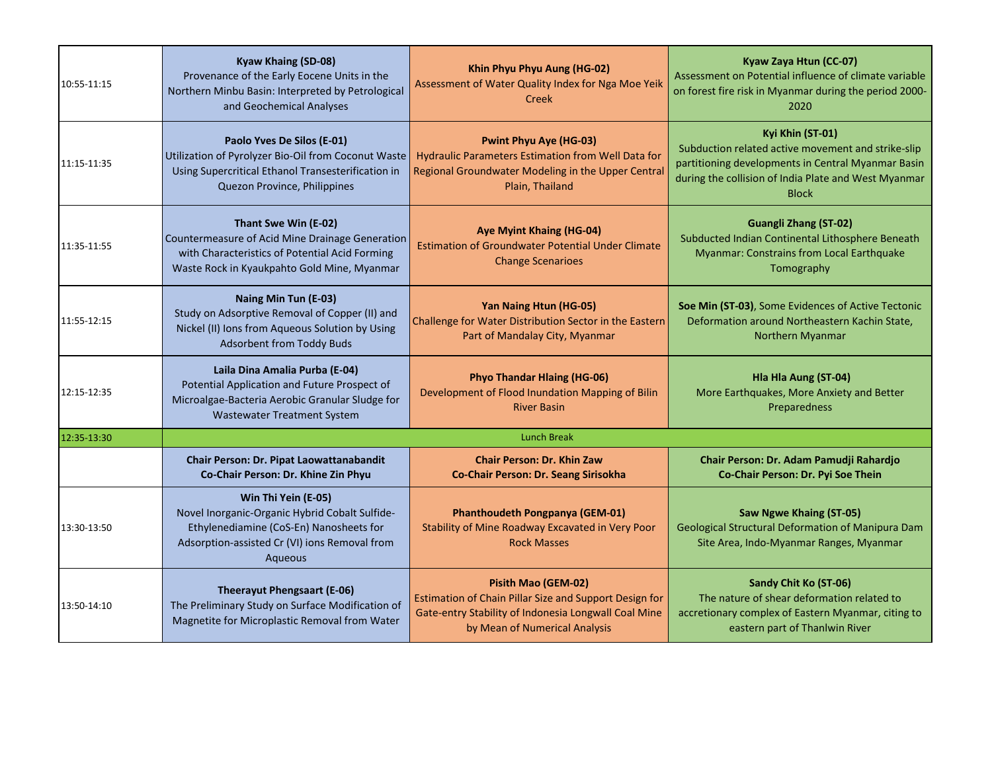| 10:55-11:15 | Kyaw Khaing (SD-08)<br>Provenance of the Early Eocene Units in the<br>Northern Minbu Basin: Interpreted by Petrological<br>and Geochemical Analyses                          | Khin Phyu Phyu Aung (HG-02)<br>Assessment of Water Quality Index for Nga Moe Yeik<br>Creek                                                                             | Kyaw Zaya Htun (CC-07)<br>Assessment on Potential influence of climate variable<br>on forest fire risk in Myanmar during the period 2000-<br>2020                                                    |
|-------------|------------------------------------------------------------------------------------------------------------------------------------------------------------------------------|------------------------------------------------------------------------------------------------------------------------------------------------------------------------|------------------------------------------------------------------------------------------------------------------------------------------------------------------------------------------------------|
| 11:15-11:35 | Paolo Yves De Silos (E-01)<br>Utilization of Pyrolyzer Bio-Oil from Coconut Waste<br>Using Supercritical Ethanol Transesterification in<br>Quezon Province, Philippines      | <b>Pwint Phyu Aye (HG-03)</b><br>Hydraulic Parameters Estimation from Well Data for<br>Regional Groundwater Modeling in the Upper Central<br>Plain, Thailand           | Kyi Khin (ST-01)<br>Subduction related active movement and strike-slip<br>partitioning developments in Central Myanmar Basin<br>during the collision of India Plate and West Myanmar<br><b>Block</b> |
| 11:35-11:55 | Thant Swe Win (E-02)<br>Countermeasure of Acid Mine Drainage Generation<br>with Characteristics of Potential Acid Forming<br>Waste Rock in Kyaukpahto Gold Mine, Myanmar     | <b>Aye Myint Khaing (HG-04)</b><br><b>Estimation of Groundwater Potential Under Climate</b><br><b>Change Scenarioes</b>                                                | <b>Guangli Zhang (ST-02)</b><br>Subducted Indian Continental Lithosphere Beneath<br>Myanmar: Constrains from Local Earthquake<br>Tomography                                                          |
| 11:55-12:15 | Naing Min Tun (E-03)<br>Study on Adsorptive Removal of Copper (II) and<br>Nickel (II) Ions from Aqueous Solution by Using<br><b>Adsorbent from Toddy Buds</b>                | Yan Naing Htun (HG-05)<br>Challenge for Water Distribution Sector in the Eastern<br>Part of Mandalay City, Myanmar                                                     | Soe Min (ST-03), Some Evidences of Active Tectonic<br>Deformation around Northeastern Kachin State,<br>Northern Myanmar                                                                              |
| 12:15-12:35 | Laila Dina Amalia Purba (E-04)<br>Potential Application and Future Prospect of<br>Microalgae-Bacteria Aerobic Granular Sludge for<br><b>Wastewater Treatment System</b>      | <b>Phyo Thandar Hlaing (HG-06)</b><br>Development of Flood Inundation Mapping of Bilin<br><b>River Basin</b>                                                           | Hla Hla Aung (ST-04)<br>More Earthquakes, More Anxiety and Better<br>Preparedness                                                                                                                    |
| 12:35-13:30 |                                                                                                                                                                              | <b>Lunch Break</b>                                                                                                                                                     |                                                                                                                                                                                                      |
|             | Chair Person: Dr. Pipat Laowattanabandit<br>Co-Chair Person: Dr. Khine Zin Phyu                                                                                              | <b>Chair Person: Dr. Khin Zaw</b><br>Co-Chair Person: Dr. Seang Sirisokha                                                                                              | Chair Person: Dr. Adam Pamudji Rahardjo<br>Co-Chair Person: Dr. Pyi Soe Thein                                                                                                                        |
| 13:30-13:50 | Win Thi Yein (E-05)<br>Novel Inorganic-Organic Hybrid Cobalt Sulfide-<br>Ethylenediamine (CoS-En) Nanosheets for<br>Adsorption-assisted Cr (VI) ions Removal from<br>Aqueous | Phanthoudeth Pongpanya (GEM-01)<br>Stability of Mine Roadway Excavated in Very Poor<br><b>Rock Masses</b>                                                              | <b>Saw Ngwe Khaing (ST-05)</b><br>Geological Structural Deformation of Manipura Dam<br>Site Area, Indo-Myanmar Ranges, Myanmar                                                                       |
| 13:50-14:10 | <b>Theerayut Phengsaart (E-06)</b><br>The Preliminary Study on Surface Modification of<br>Magnetite for Microplastic Removal from Water                                      | Pisith Mao (GEM-02)<br>Estimation of Chain Pillar Size and Support Design for<br>Gate-entry Stability of Indonesia Longwall Coal Mine<br>by Mean of Numerical Analysis | Sandy Chit Ko (ST-06)<br>The nature of shear deformation related to<br>accretionary complex of Eastern Myanmar, citing to<br>eastern part of Thanlwin River                                          |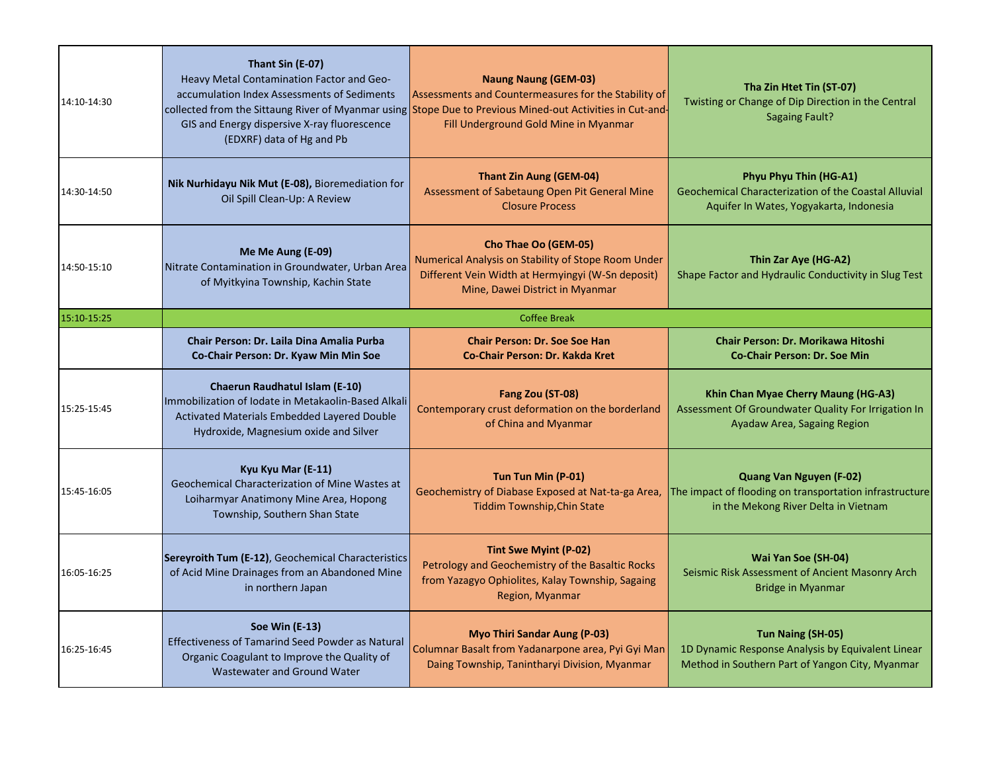| 14:10-14:30 | Thant Sin (E-07)<br>Heavy Metal Contamination Factor and Geo-<br>accumulation Index Assessments of Sediments<br>GIS and Energy dispersive X-ray fluorescence<br>(EDXRF) data of Hg and Pb | <b>Naung Naung (GEM-03)</b><br>Assessments and Countermeasures for the Stability of<br>collected from the Sittaung River of Myanmar using Stope Due to Previous Mined-out Activities in Cut-and-<br>Fill Underground Gold Mine in Myanmar | Tha Zin Htet Tin (ST-07)<br>Twisting or Change of Dip Direction in the Central<br><b>Sagaing Fault?</b>                    |
|-------------|-------------------------------------------------------------------------------------------------------------------------------------------------------------------------------------------|-------------------------------------------------------------------------------------------------------------------------------------------------------------------------------------------------------------------------------------------|----------------------------------------------------------------------------------------------------------------------------|
| 14:30-14:50 | Nik Nurhidayu Nik Mut (E-08), Bioremediation for<br>Oil Spill Clean-Up: A Review                                                                                                          | <b>Thant Zin Aung (GEM-04)</b><br>Assessment of Sabetaung Open Pit General Mine<br><b>Closure Process</b>                                                                                                                                 | Phyu Phyu Thin (HG-A1)<br>Geochemical Characterization of the Coastal Alluvial<br>Aquifer In Wates, Yogyakarta, Indonesia  |
| 14:50-15:10 | Me Me Aung (E-09)<br>Nitrate Contamination in Groundwater, Urban Area<br>of Myitkyina Township, Kachin State                                                                              | Cho Thae Oo (GEM-05)<br>Numerical Analysis on Stability of Stope Room Under<br>Different Vein Width at Hermyingyi (W-Sn deposit)<br>Mine, Dawei District in Myanmar                                                                       | Thin Zar Aye (HG-A2)<br>Shape Factor and Hydraulic Conductivity in Slug Test                                               |
| 15:10-15:25 |                                                                                                                                                                                           | <b>Coffee Break</b>                                                                                                                                                                                                                       |                                                                                                                            |
|             | Chair Person: Dr. Laila Dina Amalia Purba<br>Co-Chair Person: Dr. Kyaw Min Min Soe                                                                                                        | <b>Chair Person: Dr. Soe Soe Han</b><br><b>Co-Chair Person: Dr. Kakda Kret</b>                                                                                                                                                            | Chair Person: Dr. Morikawa Hitoshi<br><b>Co-Chair Person: Dr. Soe Min</b>                                                  |
| 15:25-15:45 | <b>Chaerun Raudhatul Islam (E-10)</b><br>Immobilization of Iodate in Metakaolin-Based Alkali<br>Activated Materials Embedded Layered Double<br>Hydroxide, Magnesium oxide and Silver      | Fang Zou (ST-08)<br>Contemporary crust deformation on the borderland<br>of China and Myanmar                                                                                                                                              | Khin Chan Myae Cherry Maung (HG-A3)<br>Assessment Of Groundwater Quality For Irrigation In<br>Ayadaw Area, Sagaing Region  |
| 15:45-16:05 | Kyu Kyu Mar (E-11)<br>Geochemical Characterization of Mine Wastes at<br>Loiharmyar Anatimony Mine Area, Hopong<br>Township, Southern Shan State                                           | Tun Tun Min (P-01)<br>Geochemistry of Diabase Exposed at Nat-ta-ga Area,<br><b>Tiddim Township, Chin State</b>                                                                                                                            | Quang Van Nguyen (F-02)<br>The impact of flooding on transportation infrastructure<br>in the Mekong River Delta in Vietnam |
| 16:05-16:25 | Sereyroith Tum (E-12), Geochemical Characteristics<br>of Acid Mine Drainages from an Abandoned Mine<br>in northern Japan                                                                  | Tint Swe Myint (P-02)<br>Petrology and Geochemistry of the Basaltic Rocks<br>from Yazagyo Ophiolites, Kalay Township, Sagaing<br>Region, Myanmar                                                                                          | Wai Yan Soe (SH-04)<br>Seismic Risk Assessment of Ancient Masonry Arch<br><b>Bridge in Myanmar</b>                         |
| 16:25-16:45 | <b>Soe Win (E-13)</b><br><b>Effectiveness of Tamarind Seed Powder as Natural</b><br>Organic Coagulant to Improve the Quality of<br>Wastewater and Ground Water                            | <b>Myo Thiri Sandar Aung (P-03)</b><br>Columnar Basalt from Yadanarpone area, Pyi Gyi Man<br>Daing Township, Tanintharyi Division, Myanmar                                                                                                | Tun Naing (SH-05)<br>1D Dynamic Response Analysis by Equivalent Linear<br>Method in Southern Part of Yangon City, Myanmar  |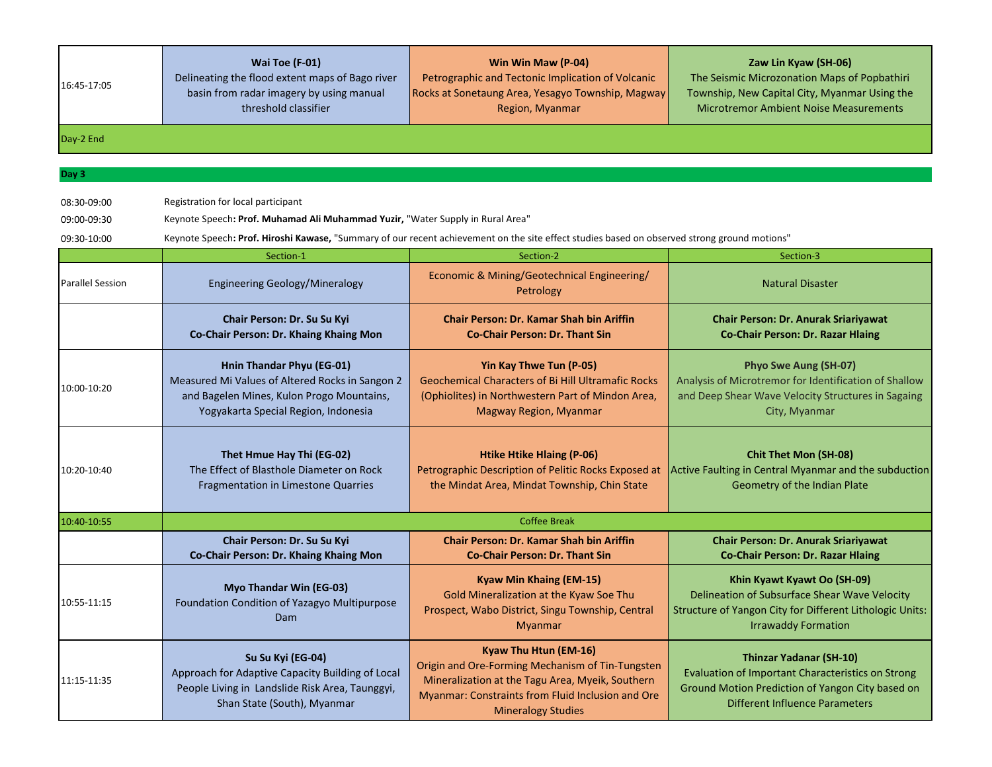| 16:45-17:05 | Wai Toe (F-01)<br>Delineating the flood extent maps of Bago river<br>basin from radar imagery by using manual<br>threshold classifier | Win Win Maw (P-04)<br>Petrographic and Tectonic Implication of Volcanic<br>Rocks at Sonetaung Area, Yesagyo Township, Magway<br>Region, Myanmar | Zaw Lin Kyaw (SH-06)<br>The Seismic Microzonation Maps of Popbathiri<br>Township, New Capital City, Myanmar Using the<br><b>Microtremor Ambient Noise Measurements</b> |
|-------------|---------------------------------------------------------------------------------------------------------------------------------------|-------------------------------------------------------------------------------------------------------------------------------------------------|------------------------------------------------------------------------------------------------------------------------------------------------------------------------|
| Day-2 End   |                                                                                                                                       |                                                                                                                                                 |                                                                                                                                                                        |
|             |                                                                                                                                       |                                                                                                                                                 |                                                                                                                                                                        |
| Day 3       |                                                                                                                                       |                                                                                                                                                 |                                                                                                                                                                        |

08:30-09:00 Registration for local participant

09:00-09:30 Keynote Speech**: Prof. Muhamad Ali Muhammad Yuzir,** "Water Supply in Rural Area"

09:30-10:00 Keynote Speech**: Prof. Hiroshi Kawase,** "Summary of our recent achievement on the site effect studies based on observed strong ground motions"

|                         | Section-1                                                                                                                                                         | Section-2                                                                                                                                                                                                       | Section-3                                                                                                                                                                        |
|-------------------------|-------------------------------------------------------------------------------------------------------------------------------------------------------------------|-----------------------------------------------------------------------------------------------------------------------------------------------------------------------------------------------------------------|----------------------------------------------------------------------------------------------------------------------------------------------------------------------------------|
| <b>Parallel Session</b> | <b>Engineering Geology/Mineralogy</b>                                                                                                                             | Economic & Mining/Geotechnical Engineering/<br>Petrology                                                                                                                                                        | <b>Natural Disaster</b>                                                                                                                                                          |
|                         | Chair Person: Dr. Su Su Kyi<br>Co-Chair Person: Dr. Khaing Khaing Mon                                                                                             | <b>Chair Person: Dr. Kamar Shah bin Ariffin</b><br><b>Co-Chair Person: Dr. Thant Sin</b>                                                                                                                        | <b>Chair Person: Dr. Anurak Sriariyawat</b><br><b>Co-Chair Person: Dr. Razar Hlaing</b>                                                                                          |
| 10:00-10:20             | Hnin Thandar Phyu (EG-01)<br>Measured Mi Values of Altered Rocks in Sangon 2<br>and Bagelen Mines, Kulon Progo Mountains,<br>Yogyakarta Special Region, Indonesia | Yin Kay Thwe Tun (P-05)<br><b>Geochemical Characters of Bi Hill Ultramafic Rocks</b><br>(Ophiolites) in Northwestern Part of Mindon Area,<br>Magway Region, Myanmar                                             | <b>Phyo Swe Aung (SH-07)</b><br>Analysis of Microtremor for Identification of Shallow<br>and Deep Shear Wave Velocity Structures in Sagaing<br>City, Myanmar                     |
| 10:20-10:40             | Thet Hmue Hay Thi (EG-02)<br>The Effect of Blasthole Diameter on Rock<br><b>Fragmentation in Limestone Quarries</b>                                               | <b>Htike Htike Hlaing (P-06)</b><br>Petrographic Description of Pelitic Rocks Exposed at<br>the Mindat Area, Mindat Township, Chin State                                                                        | <b>Chit Thet Mon (SH-08)</b><br>Active Faulting in Central Myanmar and the subduction<br>Geometry of the Indian Plate                                                            |
| 10:40-10:55             |                                                                                                                                                                   | <b>Coffee Break</b>                                                                                                                                                                                             |                                                                                                                                                                                  |
|                         | Chair Person: Dr. Su Su Kyi<br>Co-Chair Person: Dr. Khaing Khaing Mon                                                                                             | <b>Chair Person: Dr. Kamar Shah bin Ariffin</b><br><b>Co-Chair Person: Dr. Thant Sin</b>                                                                                                                        | <b>Chair Person: Dr. Anurak Sriariyawat</b><br><b>Co-Chair Person: Dr. Razar Hlaing</b>                                                                                          |
| 10:55-11:15             | Myo Thandar Win (EG-03)<br>Foundation Condition of Yazagyo Multipurpose<br><b>Dam</b>                                                                             | <b>Kyaw Min Khaing (EM-15)</b><br>Gold Mineralization at the Kyaw Soe Thu<br>Prospect, Wabo District, Singu Township, Central<br><b>Myanmar</b>                                                                 | Khin Kyawt Kyawt Oo (SH-09)<br>Delineation of Subsurface Shear Wave Velocity<br>Structure of Yangon City for Different Lithologic Units:<br><b>Irrawaddy Formation</b>           |
| 11:15-11:35             | Su Su Kyi (EG-04)<br>Approach for Adaptive Capacity Building of Local<br>People Living in Landslide Risk Area, Taunggyi,<br>Shan State (South), Myanmar           | Kyaw Thu Htun (EM-16)<br>Origin and Ore-Forming Mechanism of Tin-Tungsten<br>Mineralization at the Tagu Area, Myeik, Southern<br>Myanmar: Constraints from Fluid Inclusion and Ore<br><b>Mineralogy Studies</b> | <b>Thinzar Yadanar (SH-10)</b><br>Evaluation of Important Characteristics on Strong<br>Ground Motion Prediction of Yangon City based on<br><b>Different Influence Parameters</b> |